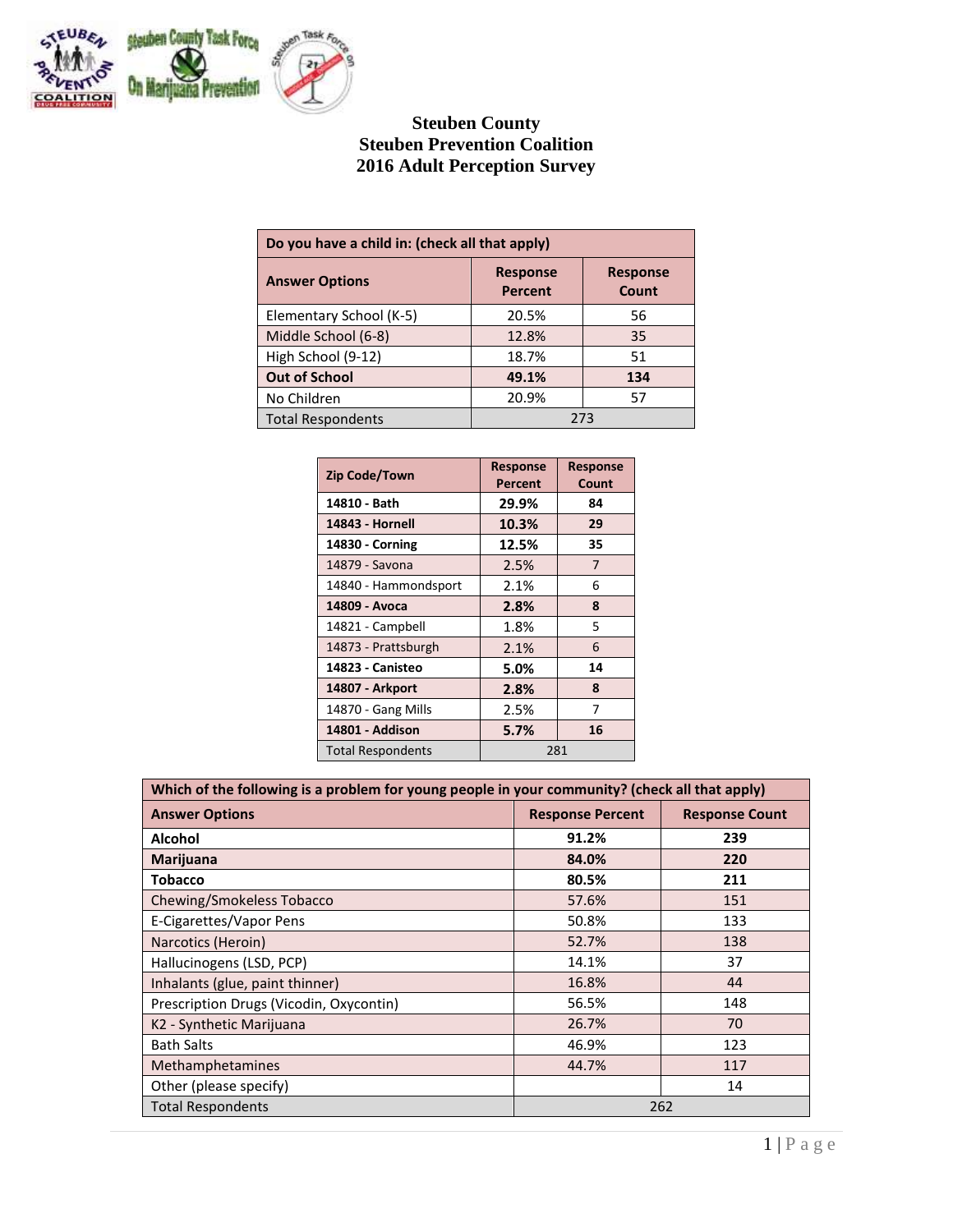

# **Steuben County Steuben Prevention Coalition 2016 Adult Perception Survey**

| Do you have a child in: (check all that apply) |                                   |                          |  |
|------------------------------------------------|-----------------------------------|--------------------------|--|
| <b>Answer Options</b>                          | <b>Response</b><br><b>Percent</b> | <b>Response</b><br>Count |  |
| Elementary School (K-5)                        | 20.5%                             | 56                       |  |
| Middle School (6-8)                            | 12.8%                             | 35                       |  |
| High School (9-12)                             | 18.7%                             | 51                       |  |
| <b>Out of School</b>                           | 49.1%                             | 134                      |  |
| No Children                                    | 20.9%                             | 57                       |  |
| <b>Total Respondents</b>                       | 273                               |                          |  |

| <b>Zip Code/Town</b>     | <b>Response</b><br>Percent | <b>Response</b><br>Count |
|--------------------------|----------------------------|--------------------------|
| 14810 - Bath             | 29.9%                      | 84                       |
| 14843 - Hornell          | 10.3%                      | 29                       |
| 14830 - Corning          | 12.5%                      | 35                       |
| 14879 - Savona           | 2.5%                       | 7                        |
| 14840 - Hammondsport     | 2.1%                       | 6                        |
| 14809 - Avoca            | 2.8%                       | 8                        |
| 14821 - Campbell         | 1.8%                       | 5                        |
| 14873 - Prattsburgh      | 2.1%                       | 6                        |
| 14823 - Canisteo         | 5.0%                       | 14                       |
| 14807 - Arkport          | 2.8%                       | 8                        |
| 14870 - Gang Mills       | 2.5%                       | 7                        |
| 14801 - Addison          | 5.7%                       | 16                       |
| <b>Total Respondents</b> | 281                        |                          |

| Which of the following is a problem for young people in your community? (check all that apply) |       |     |  |
|------------------------------------------------------------------------------------------------|-------|-----|--|
| <b>Answer Options</b><br><b>Response Percent</b><br><b>Response Count</b>                      |       |     |  |
| Alcohol                                                                                        | 91.2% | 239 |  |
| Marijuana                                                                                      | 84.0% | 220 |  |
| <b>Tobacco</b>                                                                                 | 80.5% | 211 |  |
| Chewing/Smokeless Tobacco                                                                      | 57.6% | 151 |  |
| E-Cigarettes/Vapor Pens                                                                        | 50.8% | 133 |  |
| Narcotics (Heroin)                                                                             | 52.7% | 138 |  |
| Hallucinogens (LSD, PCP)                                                                       | 14.1% | 37  |  |
| Inhalants (glue, paint thinner)                                                                | 16.8% | 44  |  |
| Prescription Drugs (Vicodin, Oxycontin)                                                        | 56.5% | 148 |  |
| K2 - Synthetic Marijuana                                                                       | 26.7% | 70  |  |
| <b>Bath Salts</b>                                                                              | 46.9% | 123 |  |
| Methamphetamines                                                                               | 44.7% | 117 |  |
| Other (please specify)                                                                         |       | 14  |  |
| <b>Total Respondents</b>                                                                       |       | 262 |  |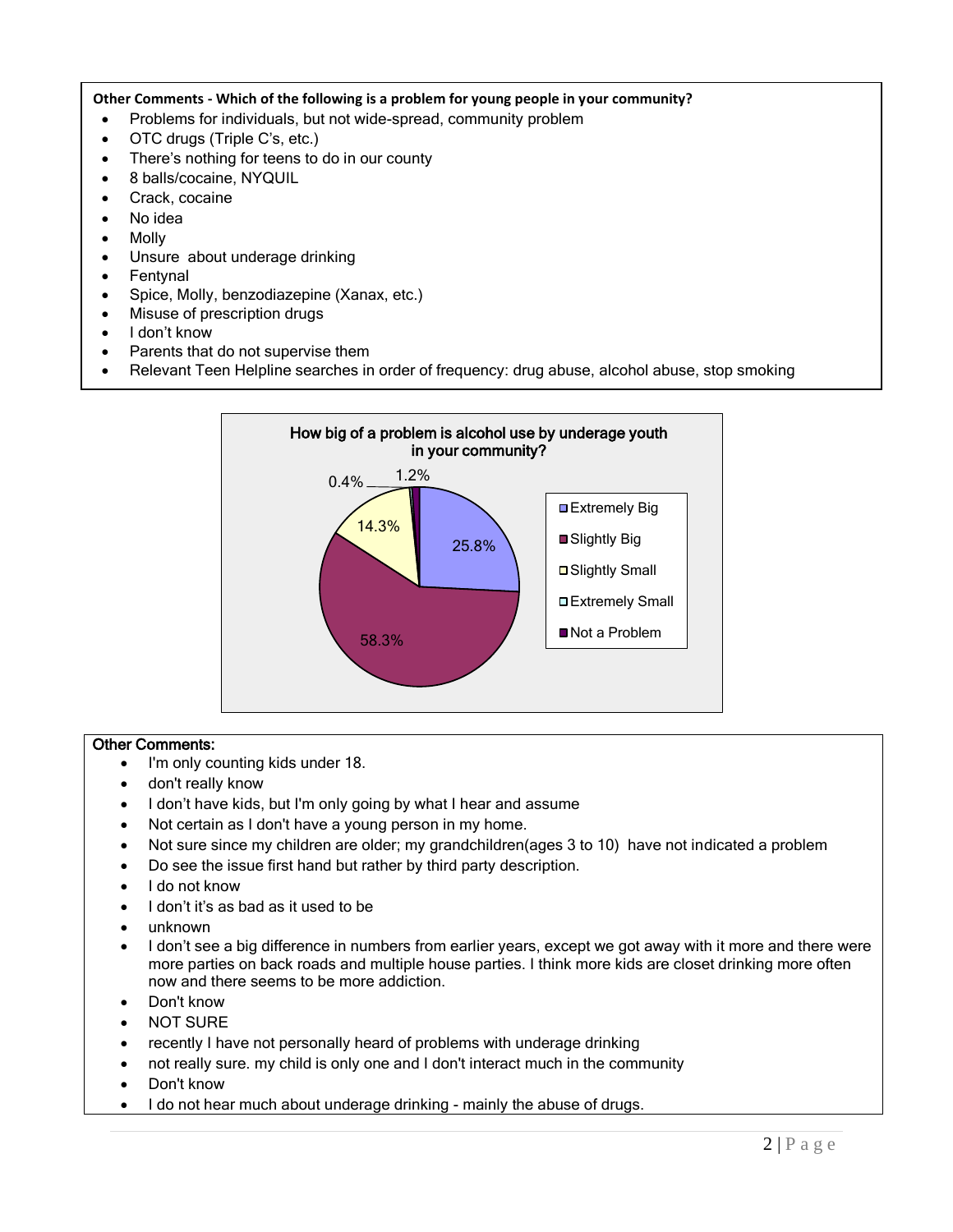## **Other Comments - Which of the following is a problem for young people in your community?**

- Problems for individuals, but not wide-spread, community problem
- OTC drugs (Triple C's, etc.)
- There's nothing for teens to do in our county
- 8 balls/cocaine, NYQUIL
- Crack, cocaine
- No idea
- Molly
- Unsure about underage drinking
- Fentynal
- Spice, Molly, benzodiazepine (Xanax, etc.)
- Misuse of prescription drugs
- I don't know
- Parents that do not supervise them
- Relevant Teen Helpline searches in order of frequency: drug abuse, alcohol abuse, stop smoking



- I'm only counting kids under 18.
- don't really know
- I don't have kids, but I'm only going by what I hear and assume
- Not certain as I don't have a young person in my home.
- Not sure since my children are older; my grandchildren(ages 3 to 10) have not indicated a problem
- Do see the issue first hand but rather by third party description.
- I do not know
- I don't it's as bad as it used to be
- unknown
- I don't see a big difference in numbers from earlier years, except we got away with it more and there were more parties on back roads and multiple house parties. I think more kids are closet drinking more often now and there seems to be more addiction.
- Don't know
- NOT SURE
- recently I have not personally heard of problems with underage drinking
- not really sure. my child is only one and I don't interact much in the community
- Don't know
- I do not hear much about underage drinking mainly the abuse of drugs.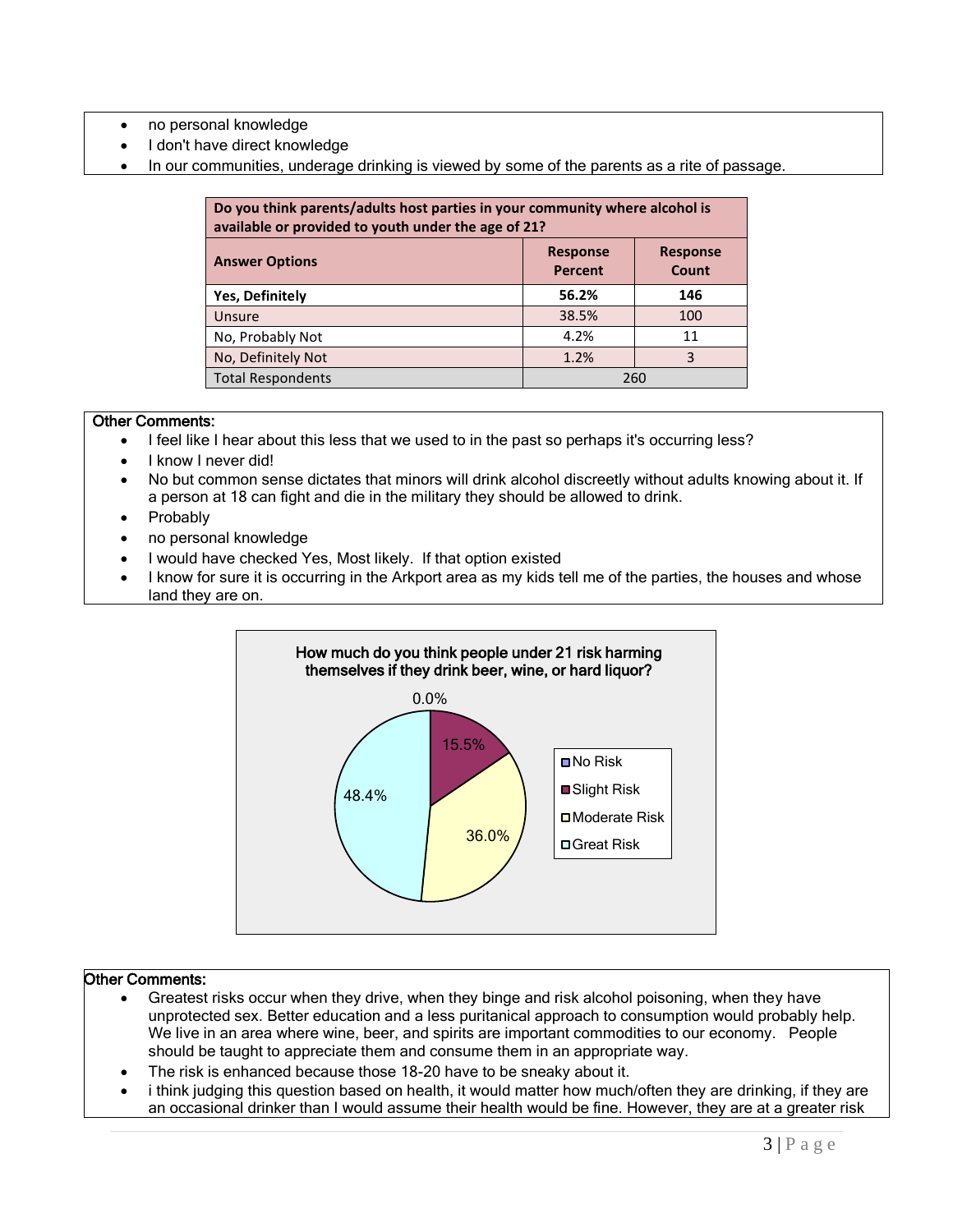- no personal knowledge
- I don't have direct knowledge
- In our communities, underage drinking is viewed by some of the parents as a rite of passage.

| Do you think parents/adults host parties in your community where alcohol is<br>available or provided to youth under the age of 21? |       |     |  |
|------------------------------------------------------------------------------------------------------------------------------------|-------|-----|--|
| <b>Response</b><br><b>Response</b><br><b>Answer Options</b><br><b>Percent</b><br>Count                                             |       |     |  |
| <b>Yes, Definitely</b>                                                                                                             | 56.2% | 146 |  |
| Unsure                                                                                                                             | 38.5% | 100 |  |
| No, Probably Not                                                                                                                   | 4.2%  | 11  |  |
| No, Definitely Not                                                                                                                 | 1.2%  | 3   |  |
| <b>Total Respondents</b>                                                                                                           | 260   |     |  |

- I feel like I hear about this less that we used to in the past so perhaps it's occurring less?
- I know I never did!
- No but common sense dictates that minors will drink alcohol discreetly without adults knowing about it. If a person at 18 can fight and die in the military they should be allowed to drink.
- Probably
- no personal knowledge
- I would have checked Yes, Most likely. If that option existed
- I know for sure it is occurring in the Arkport area as my kids tell me of the parties, the houses and whose land they are on.



- Greatest risks occur when they drive, when they binge and risk alcohol poisoning, when they have unprotected sex. Better education and a less puritanical approach to consumption would probably help. We live in an area where wine, beer, and spirits are important commodities to our economy. People should be taught to appreciate them and consume them in an appropriate way.
- The risk is enhanced because those 18-20 have to be sneaky about it.
- i think judging this question based on health, it would matter how much/often they are drinking, if they are an occasional drinker than I would assume their health would be fine. However, they are at a greater risk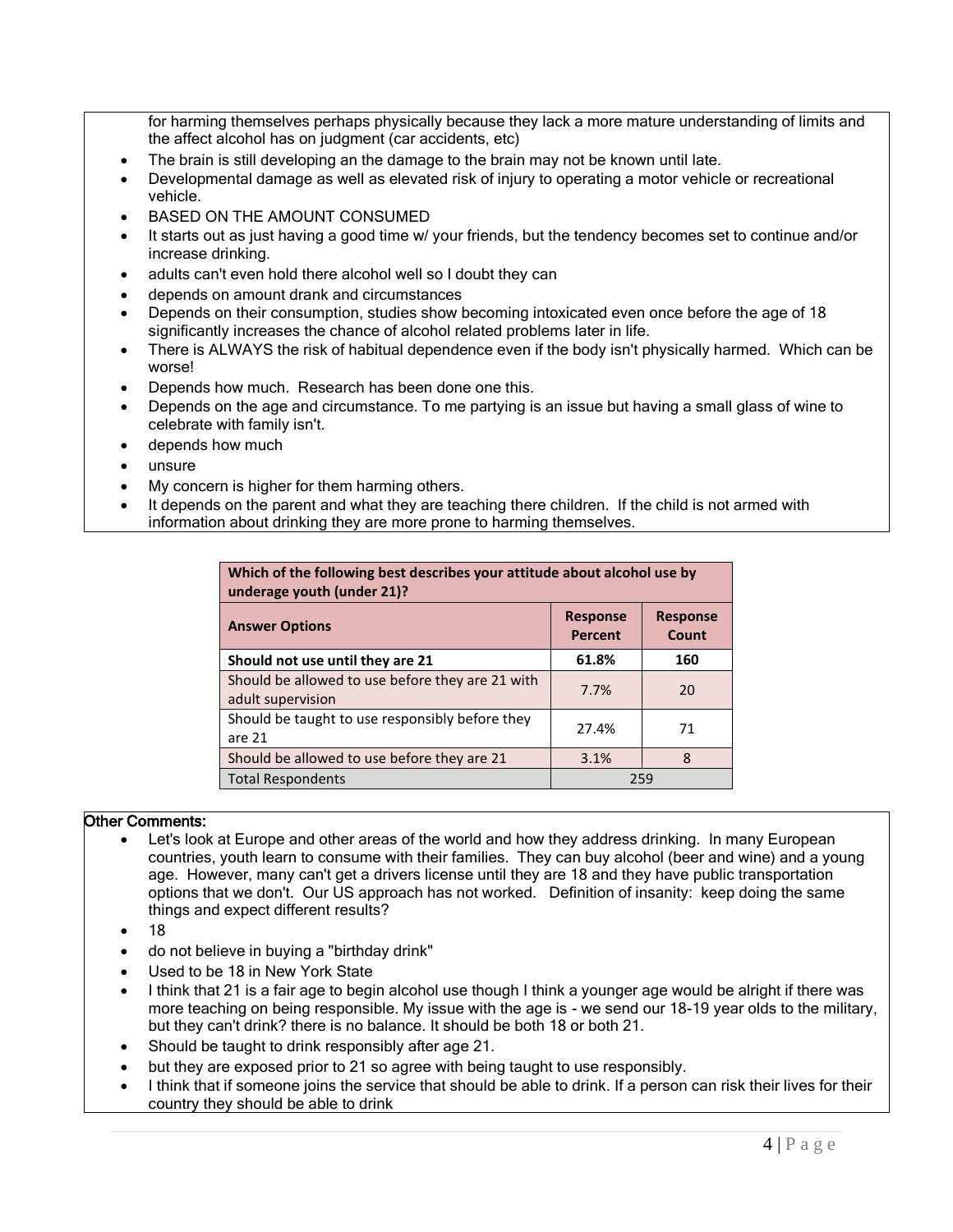for harming themselves perhaps physically because they lack a more mature understanding of limits and the affect alcohol has on judgment (car accidents, etc)

- The brain is still developing an the damage to the brain may not be known until late.
- Developmental damage as well as elevated risk of injury to operating a motor vehicle or recreational vehicle.
- BASED ON THE AMOUNT CONSUMED
- It starts out as just having a good time w/ your friends, but the tendency becomes set to continue and/or increase drinking.
- adults can't even hold there alcohol well so I doubt they can
- depends on amount drank and circumstances
- Depends on their consumption, studies show becoming intoxicated even once before the age of 18 significantly increases the chance of alcohol related problems later in life.
- There is ALWAYS the risk of habitual dependence even if the body isn't physically harmed. Which can be worse!
- Depends how much. Research has been done one this.
- Depends on the age and circumstance. To me partying is an issue but having a small glass of wine to celebrate with family isn't.
- depends how much
- $\bullet$  unsure
- My concern is higher for them harming others.
- It depends on the parent and what they are teaching there children. If the child is not armed with information about drinking they are more prone to harming themselves.

| Which of the following best describes your attitude about alcohol use by<br>underage youth (under 21)? |                                   |                          |  |
|--------------------------------------------------------------------------------------------------------|-----------------------------------|--------------------------|--|
| <b>Answer Options</b>                                                                                  | <b>Response</b><br><b>Percent</b> | <b>Response</b><br>Count |  |
| Should not use until they are 21                                                                       | 61.8%                             | 160                      |  |
| Should be allowed to use before they are 21 with<br>adult supervision                                  | 7.7%                              | 20                       |  |
| Should be taught to use responsibly before they<br>are 21                                              | 27.4%                             | 71                       |  |
| Should be allowed to use before they are 21                                                            | 3.1%                              | 8                        |  |
| <b>Total Respondents</b>                                                                               | 259                               |                          |  |

- Let's look at Europe and other areas of the world and how they address drinking. In many European countries, youth learn to consume with their families. They can buy alcohol (beer and wine) and a young age. However, many can't get a drivers license until they are 18 and they have public transportation options that we don't. Our US approach has not worked. Definition of insanity: keep doing the same things and expect different results?
- $\bullet$  18
- do not believe in buying a "birthday drink"
- Used to be 18 in New York State
- I think that 21 is a fair age to begin alcohol use though I think a younger age would be alright if there was more teaching on being responsible. My issue with the age is - we send our 18-19 year olds to the military, but they can't drink? there is no balance. It should be both 18 or both 21.
- Should be taught to drink responsibly after age 21.
- but they are exposed prior to 21 so agree with being taught to use responsibly.
- I think that if someone joins the service that should be able to drink. If a person can risk their lives for their country they should be able to drink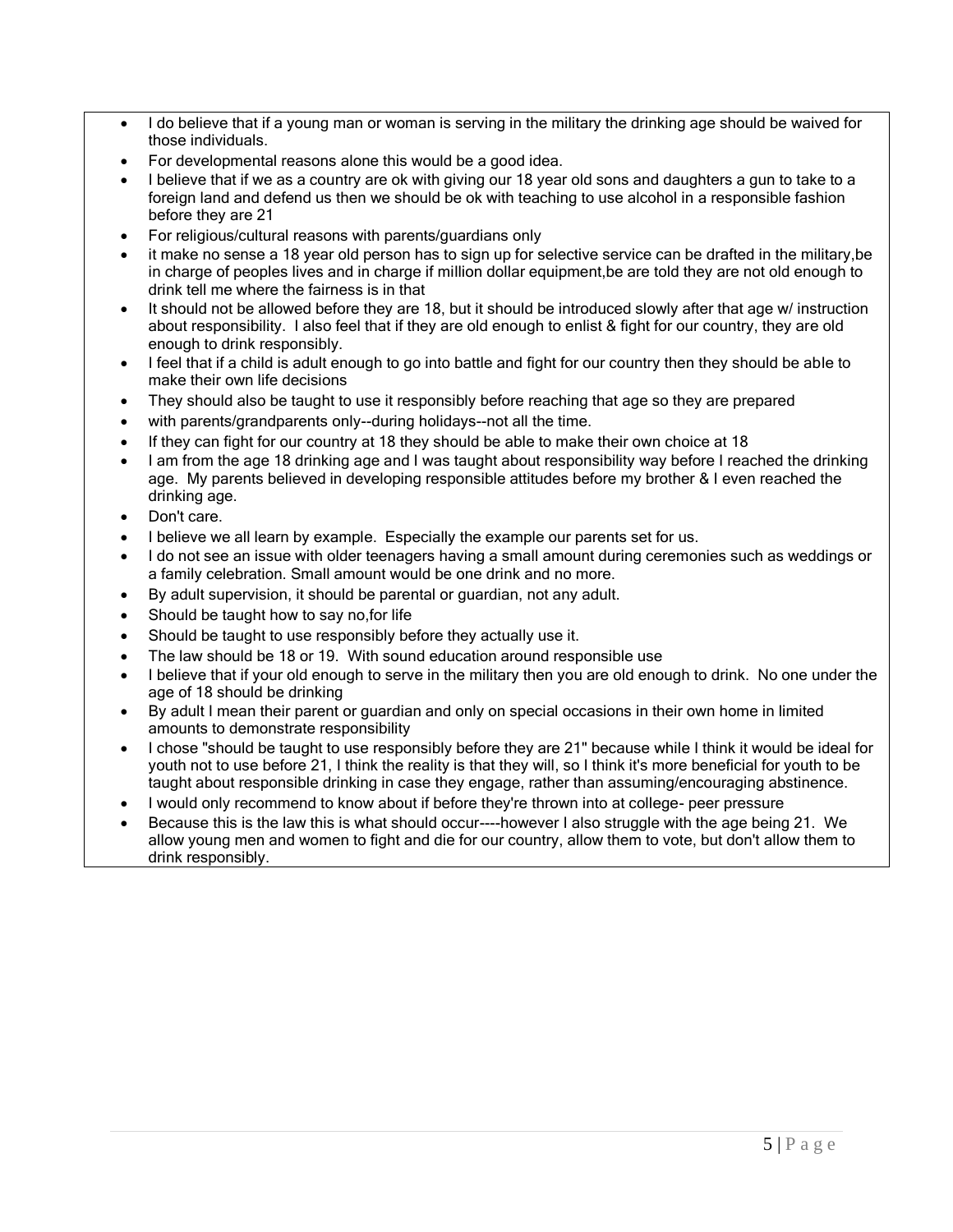- I do believe that if a young man or woman is serving in the military the drinking age should be waived for those individuals.
- For developmental reasons alone this would be a good idea.
- I believe that if we as a country are ok with giving our 18 year old sons and daughters a gun to take to a foreign land and defend us then we should be ok with teaching to use alcohol in a responsible fashion before they are 21
- For religious/cultural reasons with parents/guardians only
- it make no sense a 18 year old person has to sign up for selective service can be drafted in the military,be in charge of peoples lives and in charge if million dollar equipment,be are told they are not old enough to drink tell me where the fairness is in that
- It should not be allowed before they are 18, but it should be introduced slowly after that age w/ instruction about responsibility. I also feel that if they are old enough to enlist & fight for our country, they are old enough to drink responsibly.
- I feel that if a child is adult enough to go into battle and fight for our country then they should be able to make their own life decisions
- They should also be taught to use it responsibly before reaching that age so they are prepared
- with parents/grandparents only--during holidays--not all the time.
- If they can fight for our country at 18 they should be able to make their own choice at 18
- I am from the age 18 drinking age and I was taught about responsibility way before I reached the drinking age. My parents believed in developing responsible attitudes before my brother & I even reached the drinking age.
- Don't care.
- I believe we all learn by example. Especially the example our parents set for us.
- I do not see an issue with older teenagers having a small amount during ceremonies such as weddings or a family celebration. Small amount would be one drink and no more.
- By adult supervision, it should be parental or guardian, not any adult.
- Should be taught how to say no,for life
- Should be taught to use responsibly before they actually use it.
- The law should be 18 or 19. With sound education around responsible use
- I believe that if your old enough to serve in the military then you are old enough to drink. No one under the age of 18 should be drinking
- By adult I mean their parent or guardian and only on special occasions in their own home in limited amounts to demonstrate responsibility
- I chose "should be taught to use responsibly before they are 21" because while I think it would be ideal for youth not to use before 21, I think the reality is that they will, so I think it's more beneficial for youth to be taught about responsible drinking in case they engage, rather than assuming/encouraging abstinence.
- I would only recommend to know about if before they're thrown into at college- peer pressure
- Because this is the law this is what should occur----however I also struggle with the age being 21. We allow young men and women to fight and die for our country, allow them to vote, but don't allow them to drink responsibly.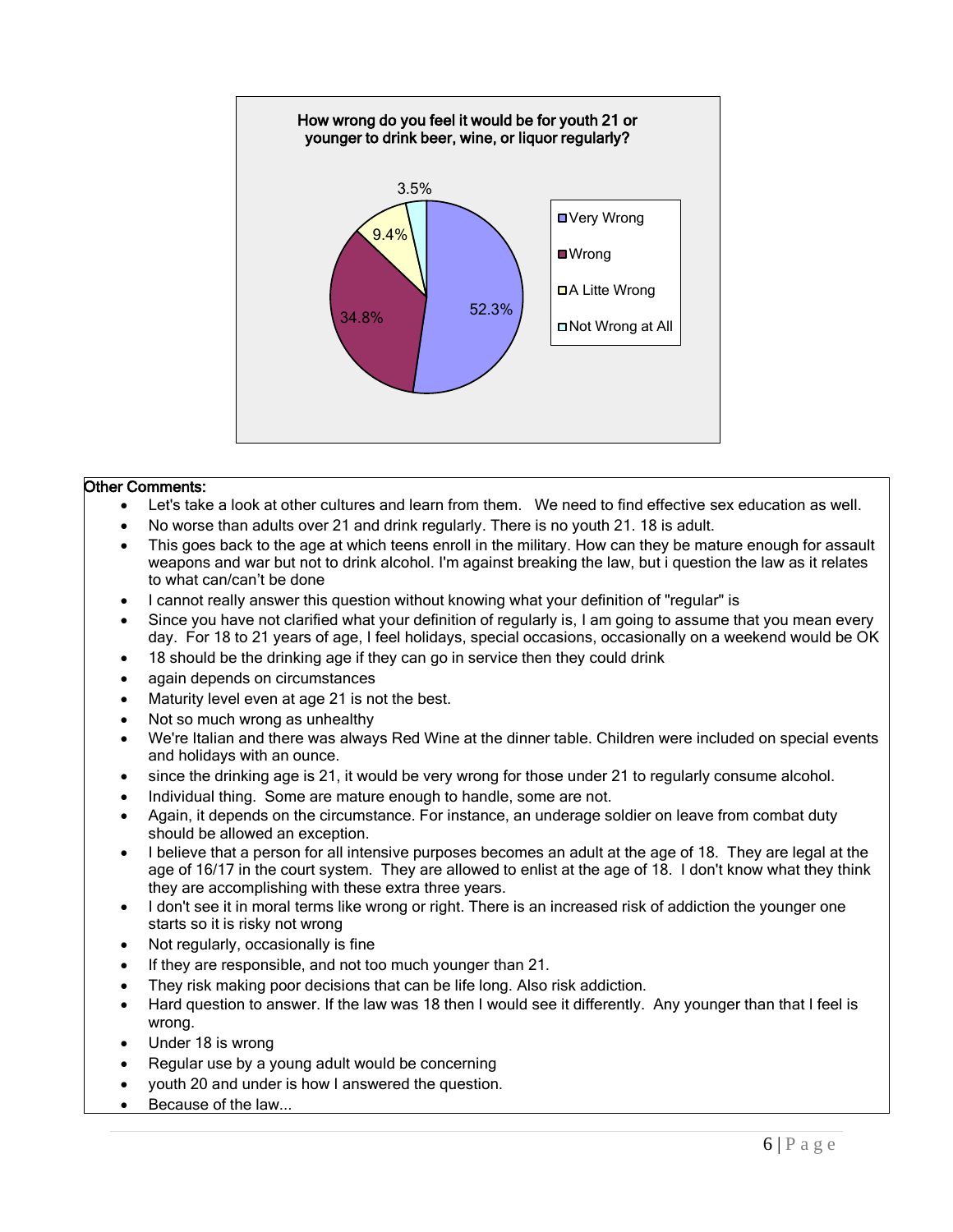

- Let's take a look at other cultures and learn from them. We need to find effective sex education as well.
- No worse than adults over 21 and drink regularly. There is no youth 21. 18 is adult.
- This goes back to the age at which teens enroll in the military. How can they be mature enough for assault weapons and war but not to drink alcohol. I'm against breaking the law, but i question the law as it relates to what can/can't be done
- I cannot really answer this question without knowing what your definition of "regular" is
- Since you have not clarified what your definition of regularly is, I am going to assume that you mean every day. For 18 to 21 years of age, I feel holidays, special occasions, occasionally on a weekend would be OK
- 18 should be the drinking age if they can go in service then they could drink
- again depends on circumstances
- Maturity level even at age 21 is not the best.
- Not so much wrong as unhealthy
- We're Italian and there was always Red Wine at the dinner table. Children were included on special events and holidays with an ounce.
- since the drinking age is 21, it would be very wrong for those under 21 to regularly consume alcohol.
- Individual thing. Some are mature enough to handle, some are not.
- Again, it depends on the circumstance. For instance, an underage soldier on leave from combat duty should be allowed an exception.
- I believe that a person for all intensive purposes becomes an adult at the age of 18. They are legal at the age of 16/17 in the court system. They are allowed to enlist at the age of 18. I don't know what they think they are accomplishing with these extra three years.
- I don't see it in moral terms like wrong or right. There is an increased risk of addiction the younger one starts so it is risky not wrong
- Not regularly, occasionally is fine
- If they are responsible, and not too much younger than 21.
- They risk making poor decisions that can be life long. Also risk addiction.
- Hard question to answer. If the law was 18 then I would see it differently. Any younger than that I feel is wrong.
- Under 18 is wrong
- Regular use by a young adult would be concerning
- youth 20 and under is how I answered the question.
- Because of the law...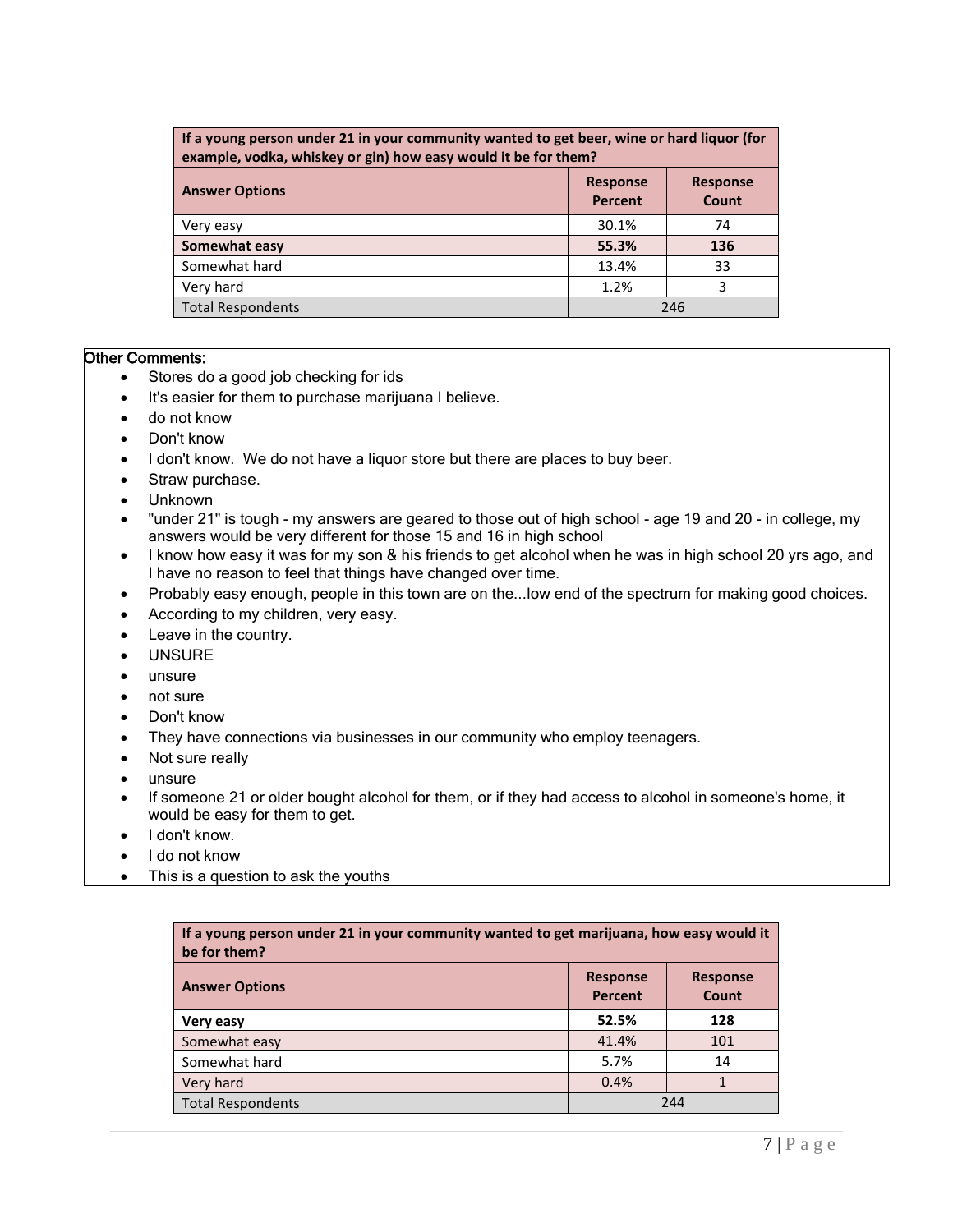| If a young person under 21 in your community wanted to get beer, wine or hard liquor (for<br>example, vodka, whiskey or gin) how easy would it be for them? |       |     |  |
|-------------------------------------------------------------------------------------------------------------------------------------------------------------|-------|-----|--|
| <b>Response</b><br><b>Response</b><br><b>Answer Options</b><br>Percent<br>Count                                                                             |       |     |  |
| Very easy                                                                                                                                                   | 30.1% | 74  |  |
| Somewhat easy                                                                                                                                               | 55.3% | 136 |  |
| Somewhat hard                                                                                                                                               | 13.4% | 33  |  |
| Very hard                                                                                                                                                   | 1.2%  | 3   |  |
| <b>Total Respondents</b><br>246                                                                                                                             |       |     |  |

- Stores do a good job checking for ids
- It's easier for them to purchase marijuana I believe.
- do not know
- Don't know
- I don't know. We do not have a liquor store but there are places to buy beer.
- Straw purchase.
- Unknown
- "under 21" is tough my answers are geared to those out of high school age 19 and 20 in college, my answers would be very different for those 15 and 16 in high school
- I know how easy it was for my son & his friends to get alcohol when he was in high school 20 yrs ago, and I have no reason to feel that things have changed over time.
- Probably easy enough, people in this town are on the... low end of the spectrum for making good choices.
- According to my children, very easy.
- Leave in the country.
- UNSURE
- unsure
- not sure
- Don't know
- They have connections via businesses in our community who employ teenagers.
- Not sure really
- unsure
- If someone 21 or older bought alcohol for them, or if they had access to alcohol in someone's home, it would be easy for them to get.
- I don't know.
- I do not know
- This is a question to ask the youths

| If a young person under 21 in your community wanted to get marijuana, how easy would it<br>be for them? |       |     |  |
|---------------------------------------------------------------------------------------------------------|-------|-----|--|
| <b>Response</b><br><b>Response</b><br><b>Answer Options</b><br><b>Percent</b><br>Count                  |       |     |  |
| Very easy                                                                                               | 52.5% | 128 |  |
| Somewhat easy                                                                                           | 41.4% | 101 |  |
| Somewhat hard                                                                                           | 5.7%  | 14  |  |
| Very hard                                                                                               | 0.4%  |     |  |
| <b>Total Respondents</b>                                                                                |       | 244 |  |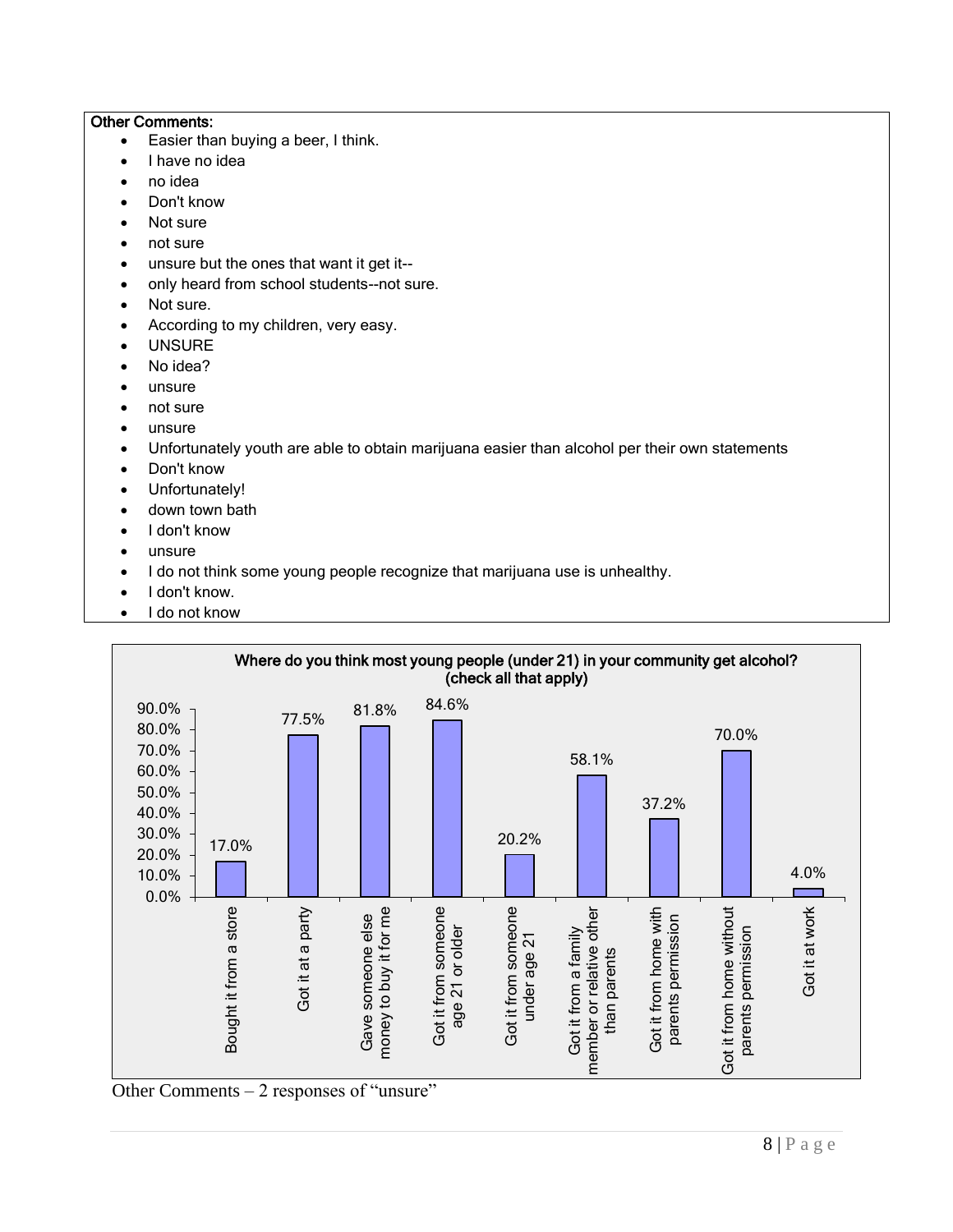- Easier than buying a beer, I think.
- I have no idea
- no idea
- Don't know
- Not sure
- not sure
- unsure but the ones that want it get it--
- only heard from school students--not sure.
- Not sure.
- According to my children, very easy.
- UNSURE
- No idea?
- unsure
- not sure
- unsure
- Unfortunately youth are able to obtain marijuana easier than alcohol per their own statements
- Don't know
- Unfortunately!
- down town bath
- I don't know
- unsure
- I do not think some young people recognize that marijuana use is unhealthy.
- I don't know.
- I do not know



Other Comments – 2 responses of "unsure"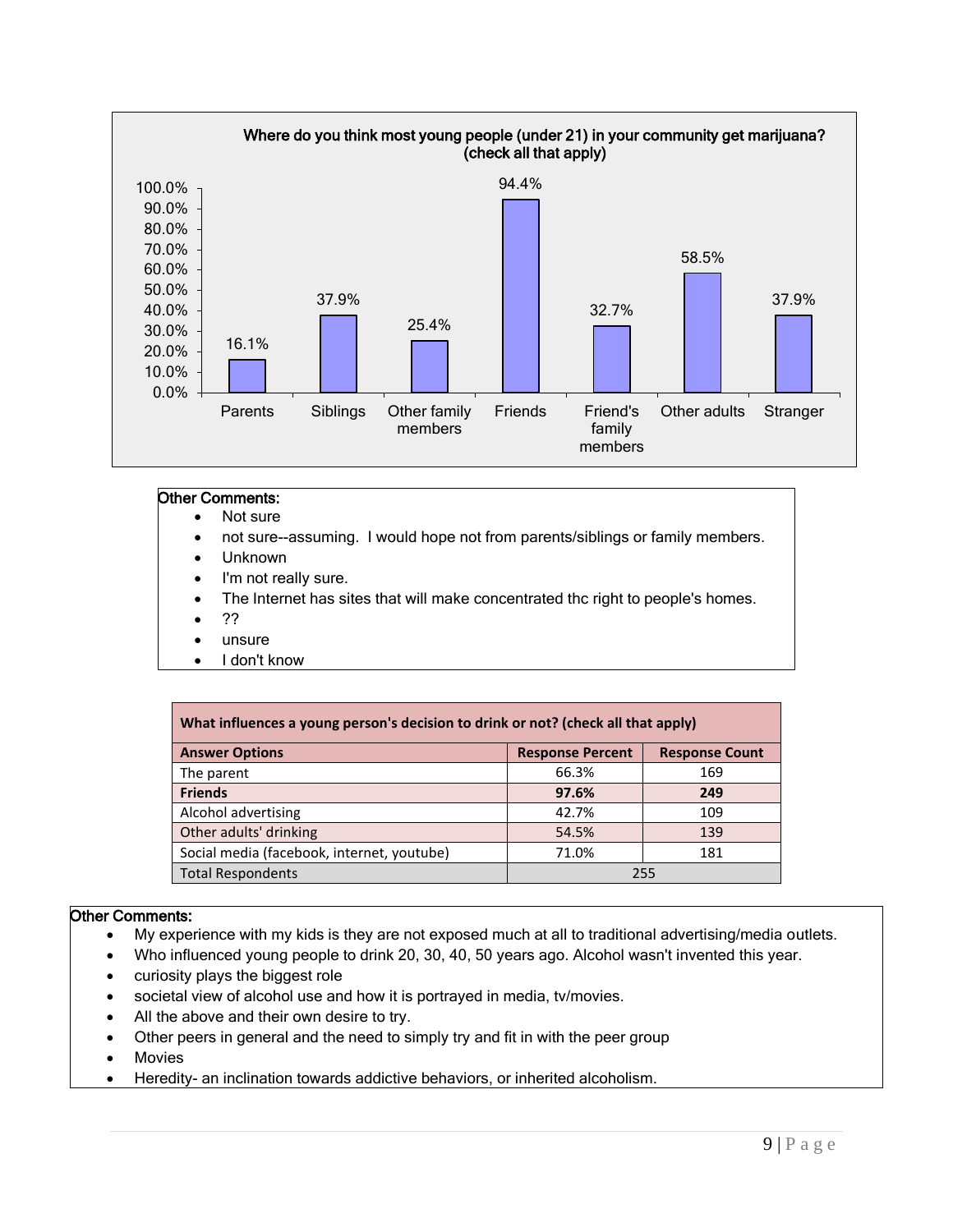

- Not sure
- not sure--assuming. I would hope not from parents/siblings or family members.
- Unknown
- I'm not really sure.
- The Internet has sites that will make concentrated thc right to people's homes.
- ??
- unsure
- I don't know

| What influences a young person's decision to drink or not? (check all that apply) |                         |                       |  |
|-----------------------------------------------------------------------------------|-------------------------|-----------------------|--|
| <b>Answer Options</b>                                                             | <b>Response Percent</b> | <b>Response Count</b> |  |
| The parent                                                                        | 66.3%                   | 169                   |  |
| <b>Friends</b>                                                                    | 97.6%                   | 249                   |  |
| Alcohol advertising                                                               | 42.7%                   | 109                   |  |
| Other adults' drinking                                                            | 54.5%                   | 139                   |  |
| Social media (facebook, internet, youtube)                                        | 71.0%                   | 181                   |  |
| <b>Total Respondents</b>                                                          | 255                     |                       |  |

- My experience with my kids is they are not exposed much at all to traditional advertising/media outlets.
- Who influenced young people to drink 20, 30, 40, 50 years ago. Alcohol wasn't invented this year.
- curiosity plays the biggest role
- societal view of alcohol use and how it is portrayed in media, tv/movies.
- All the above and their own desire to try.
- Other peers in general and the need to simply try and fit in with the peer group
- Movies
- Heredity- an inclination towards addictive behaviors, or inherited alcoholism.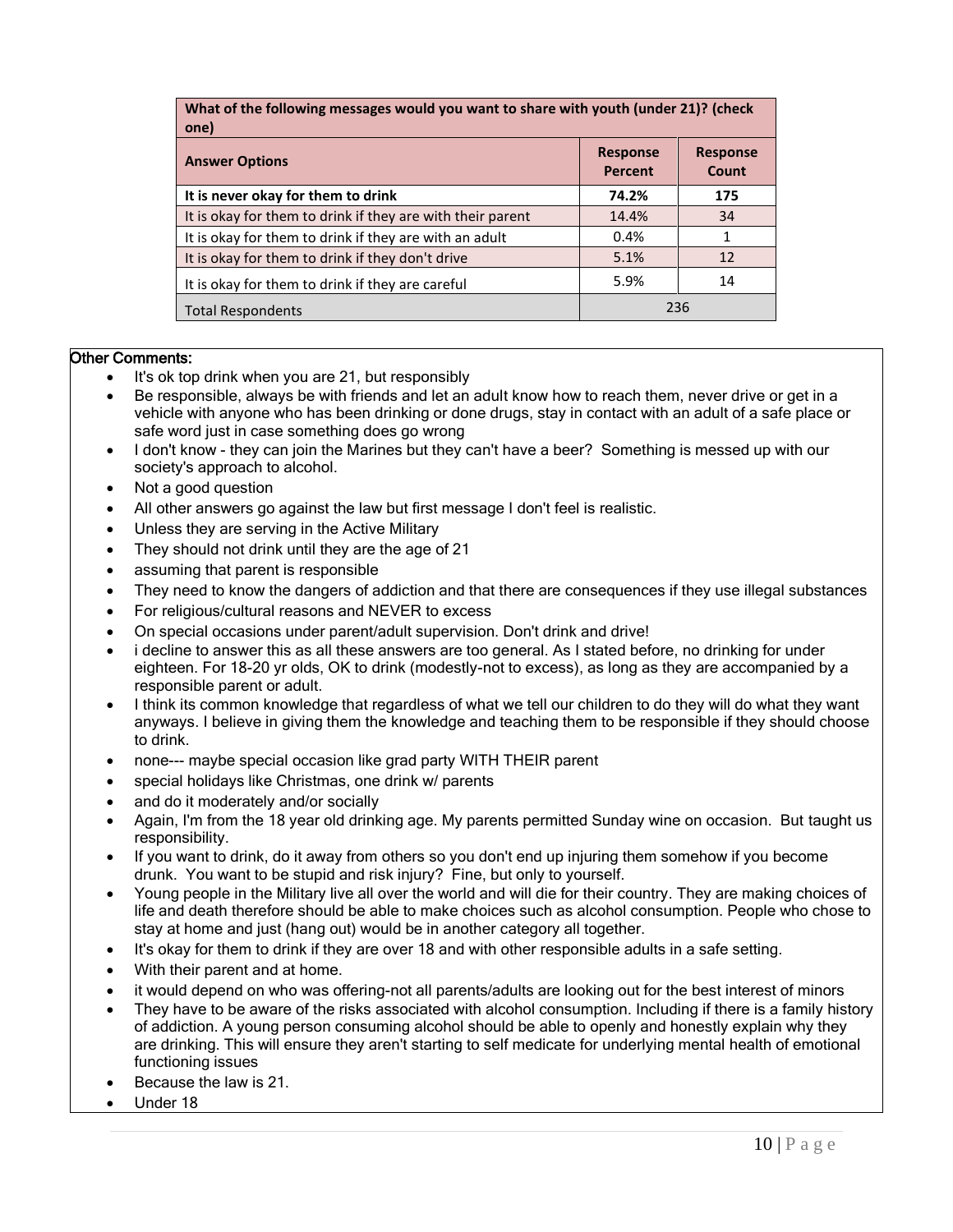| What of the following messages would you want to share with youth (under 21)? (check<br>one) |                                   |                          |  |
|----------------------------------------------------------------------------------------------|-----------------------------------|--------------------------|--|
| <b>Answer Options</b>                                                                        | <b>Response</b><br><b>Percent</b> | <b>Response</b><br>Count |  |
| It is never okay for them to drink                                                           | 74.2%                             | 175                      |  |
| It is okay for them to drink if they are with their parent                                   | 14.4%                             | 34                       |  |
| It is okay for them to drink if they are with an adult                                       | 0.4%                              | 1                        |  |
| It is okay for them to drink if they don't drive                                             | 5.1%                              | 12                       |  |
| It is okay for them to drink if they are careful                                             | 5.9%                              | 14                       |  |
| <b>Total Respondents</b>                                                                     |                                   | 236                      |  |

- It's ok top drink when you are 21, but responsibly
- Be responsible, always be with friends and let an adult know how to reach them, never drive or get in a vehicle with anyone who has been drinking or done drugs, stay in contact with an adult of a safe place or safe word just in case something does go wrong
- I don't know they can join the Marines but they can't have a beer? Something is messed up with our society's approach to alcohol.
- Not a good question
- All other answers go against the law but first message I don't feel is realistic.
- Unless they are serving in the Active Military
- They should not drink until they are the age of 21
- assuming that parent is responsible
- They need to know the dangers of addiction and that there are consequences if they use illegal substances
- For religious/cultural reasons and NEVER to excess
- On special occasions under parent/adult supervision. Don't drink and drive!
- i decline to answer this as all these answers are too general. As I stated before, no drinking for under eighteen. For 18-20 yr olds, OK to drink (modestly-not to excess), as long as they are accompanied by a responsible parent or adult.
- I think its common knowledge that regardless of what we tell our children to do they will do what they want anyways. I believe in giving them the knowledge and teaching them to be responsible if they should choose to drink.
- none--- maybe special occasion like grad party WITH THEIR parent
- special holidays like Christmas, one drink w/ parents
- and do it moderately and/or socially
- Again, I'm from the 18 year old drinking age. My parents permitted Sunday wine on occasion. But taught us responsibility.
- If you want to drink, do it away from others so you don't end up injuring them somehow if you become drunk. You want to be stupid and risk injury? Fine, but only to yourself.
- Young people in the Military live all over the world and will die for their country. They are making choices of life and death therefore should be able to make choices such as alcohol consumption. People who chose to stay at home and just (hang out) would be in another category all together.
- It's okay for them to drink if they are over 18 and with other responsible adults in a safe setting.
- With their parent and at home.
- it would depend on who was offering-not all parents/adults are looking out for the best interest of minors
- They have to be aware of the risks associated with alcohol consumption. Including if there is a family history of addiction. A young person consuming alcohol should be able to openly and honestly explain why they are drinking. This will ensure they aren't starting to self medicate for underlying mental health of emotional functioning issues
- Because the law is 21.
- Under 18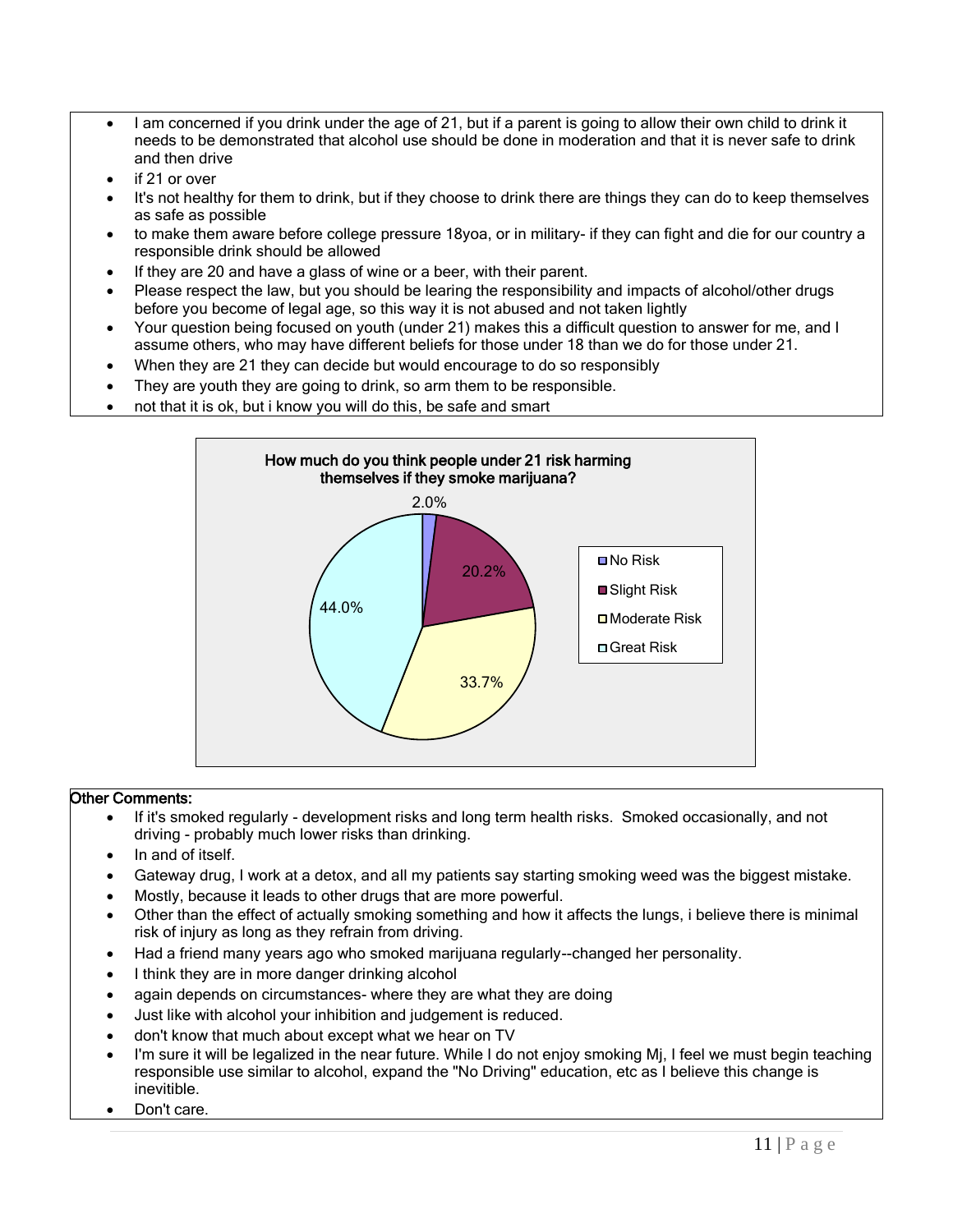- I am concerned if you drink under the age of 21, but if a parent is going to allow their own child to drink it needs to be demonstrated that alcohol use should be done in moderation and that it is never safe to drink and then drive
- if 21 or over
- It's not healthy for them to drink, but if they choose to drink there are things they can do to keep themselves as safe as possible
- to make them aware before college pressure 18yoa, or in military- if they can fight and die for our country a responsible drink should be allowed
- If they are 20 and have a glass of wine or a beer, with their parent.
- Please respect the law, but you should be learing the responsibility and impacts of alcohol/other drugs before you become of legal age, so this way it is not abused and not taken lightly
- Your question being focused on youth (under 21) makes this a difficult question to answer for me, and I assume others, who may have different beliefs for those under 18 than we do for those under 21.
- When they are 21 they can decide but would encourage to do so responsibly
- They are youth they are going to drink, so arm them to be responsible.
- not that it is ok, but i know you will do this, be safe and smart



- If it's smoked regularly development risks and long term health risks. Smoked occasionally, and not driving - probably much lower risks than drinking.
- In and of itself.
- Gateway drug, I work at a detox, and all my patients say starting smoking weed was the biggest mistake.
- Mostly, because it leads to other drugs that are more powerful.
- Other than the effect of actually smoking something and how it affects the lungs, i believe there is minimal risk of injury as long as they refrain from driving.
- Had a friend many years ago who smoked marijuana regularly--changed her personality.
- I think they are in more danger drinking alcohol
- again depends on circumstances- where they are what they are doing
- Just like with alcohol your inhibition and judgement is reduced.
- don't know that much about except what we hear on TV
- I'm sure it will be legalized in the near future. While I do not enjoy smoking Mj, I feel we must begin teaching responsible use similar to alcohol, expand the "No Driving" education, etc as I believe this change is inevitible.
- Don't care.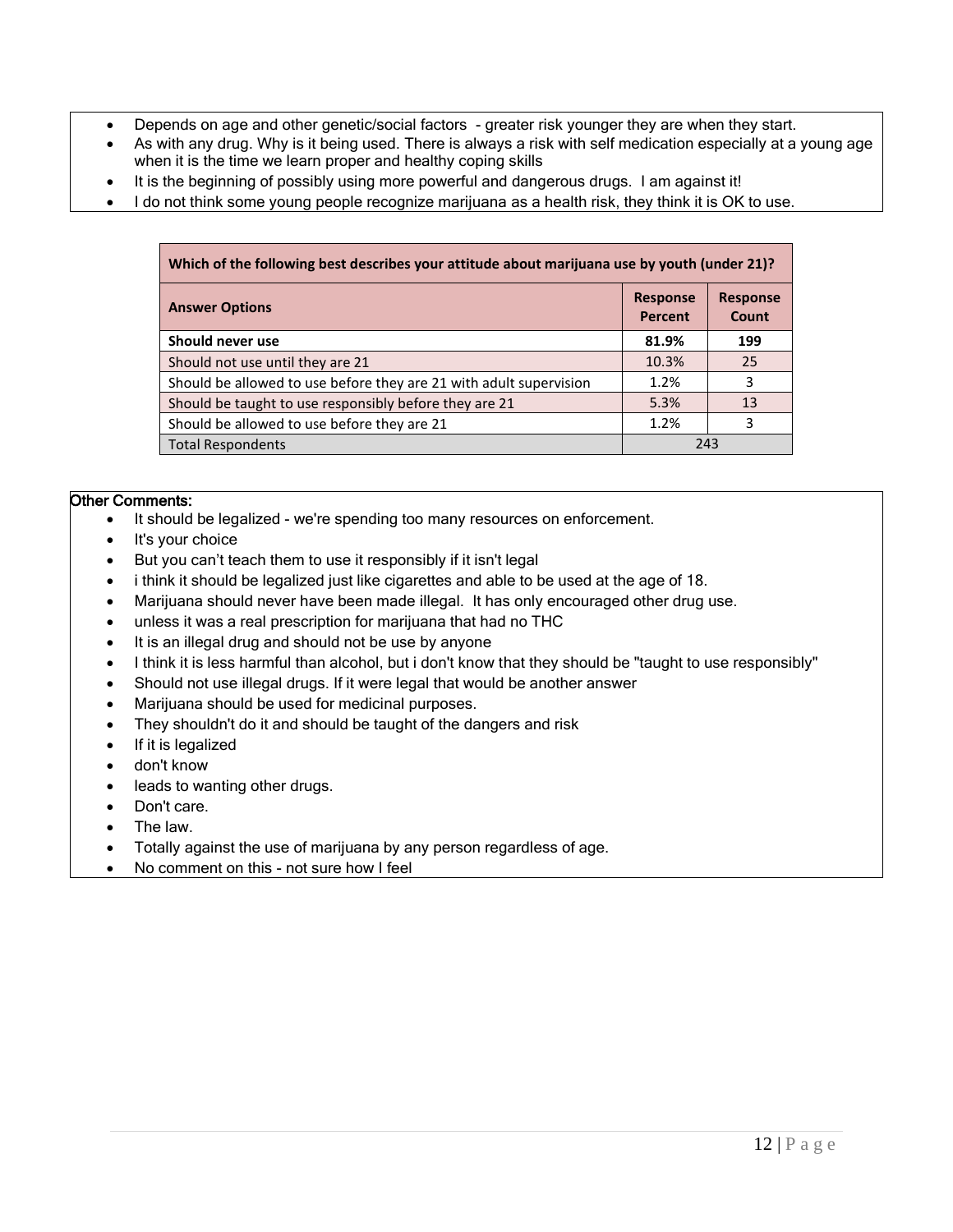- Depends on age and other genetic/social factors greater risk younger they are when they start.
- As with any drug. Why is it being used. There is always a risk with self medication especially at a young age when it is the time we learn proper and healthy coping skills
- It is the beginning of possibly using more powerful and dangerous drugs. I am against it!
- I do not think some young people recognize marijuana as a health risk, they think it is OK to use.

| Which of the following best describes your attitude about marijuana use by youth (under 21)? |                                   |                          |  |
|----------------------------------------------------------------------------------------------|-----------------------------------|--------------------------|--|
| <b>Answer Options</b>                                                                        | <b>Response</b><br><b>Percent</b> | <b>Response</b><br>Count |  |
| Should never use                                                                             | 81.9%                             | 199                      |  |
| Should not use until they are 21                                                             | 10.3%                             | 25                       |  |
| Should be allowed to use before they are 21 with adult supervision                           | 1.2%                              | 3                        |  |
| Should be taught to use responsibly before they are 21                                       | 5.3%                              | 13                       |  |
| Should be allowed to use before they are 21                                                  | 1.2%                              | 3                        |  |
| <b>Total Respondents</b>                                                                     | 243                               |                          |  |

- It should be legalized we're spending too many resources on enforcement.
- It's your choice
- But you can't teach them to use it responsibly if it isn't legal
- i think it should be legalized just like cigarettes and able to be used at the age of 18.
- Marijuana should never have been made illegal. It has only encouraged other drug use.
- unless it was a real prescription for marijuana that had no THC
- It is an illegal drug and should not be use by anyone
- I think it is less harmful than alcohol, but i don't know that they should be "taught to use responsibly"
- Should not use illegal drugs. If it were legal that would be another answer
- Marijuana should be used for medicinal purposes.
- They shouldn't do it and should be taught of the dangers and risk
- If it is legalized
- don't know
- leads to wanting other drugs.
- Don't care.
- The law.
- Totally against the use of marijuana by any person regardless of age.
- No comment on this not sure how I feel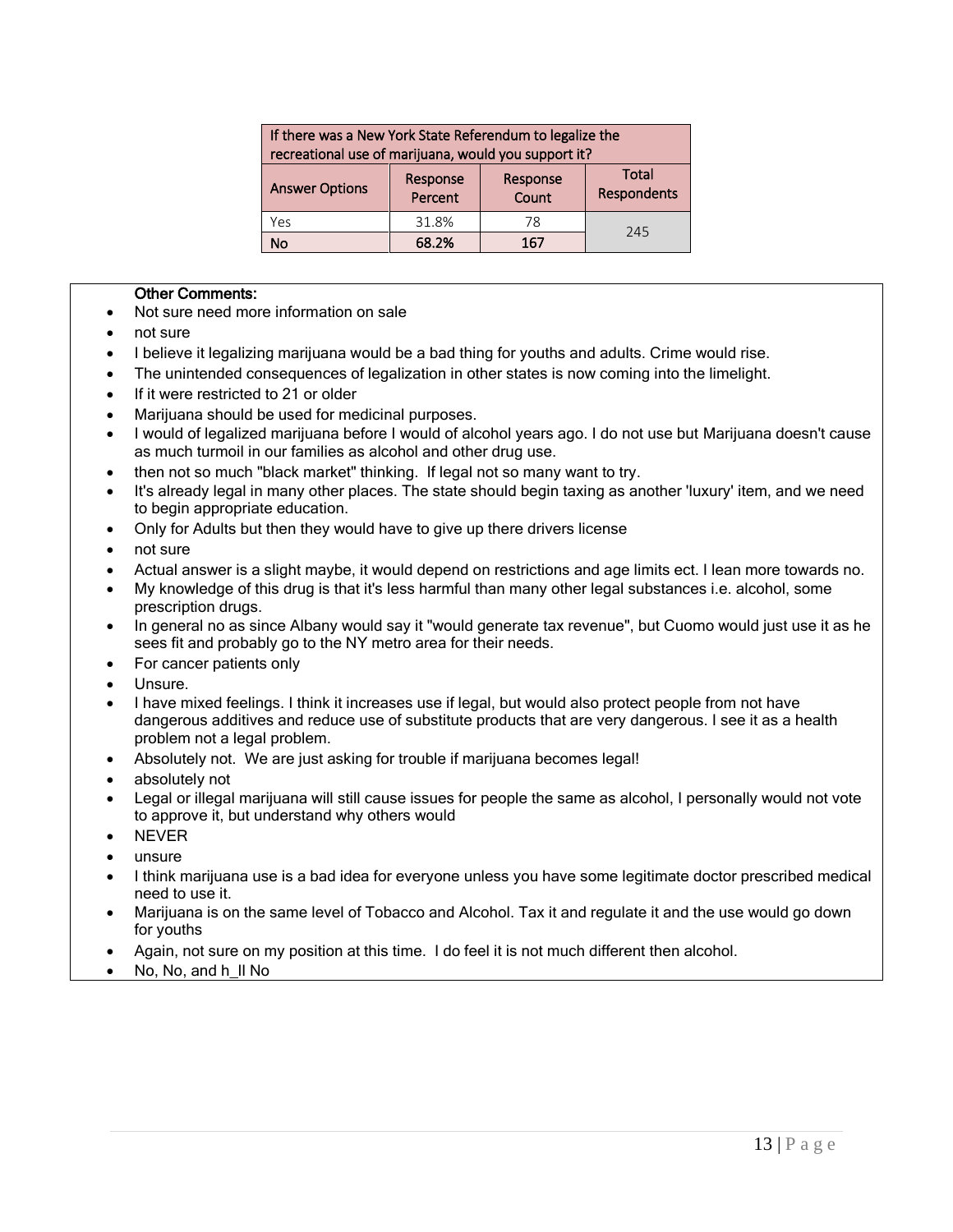| If there was a New York State Referendum to legalize the<br>recreational use of marijuana, would you support it? |                                                          |     |             |  |
|------------------------------------------------------------------------------------------------------------------|----------------------------------------------------------|-----|-------------|--|
| <b>Answer Options</b>                                                                                            | <b>Total</b><br>Response<br>Response<br>Percent<br>Count |     | Respondents |  |
| Yes                                                                                                              | 31.8%                                                    | 78  | 245         |  |
| No                                                                                                               | 68.2%                                                    | 167 |             |  |

- Not sure need more information on sale
- not sure
- I believe it legalizing marijuana would be a bad thing for youths and adults. Crime would rise.
- The unintended consequences of legalization in other states is now coming into the limelight.
- If it were restricted to 21 or older
- Marijuana should be used for medicinal purposes.
- I would of legalized marijuana before I would of alcohol years ago. I do not use but Marijuana doesn't cause as much turmoil in our families as alcohol and other drug use.
- then not so much "black market" thinking. If legal not so many want to try.
- It's already legal in many other places. The state should begin taxing as another 'luxury' item, and we need to begin appropriate education.
- Only for Adults but then they would have to give up there drivers license
- not sure
- Actual answer is a slight maybe, it would depend on restrictions and age limits ect. I lean more towards no.
- My knowledge of this drug is that it's less harmful than many other legal substances i.e. alcohol, some prescription drugs.
- In general no as since Albany would say it "would generate tax revenue", but Cuomo would just use it as he sees fit and probably go to the NY metro area for their needs.
- For cancer patients only
- Unsure.
- I have mixed feelings. I think it increases use if legal, but would also protect people from not have dangerous additives and reduce use of substitute products that are very dangerous. I see it as a health problem not a legal problem.
- Absolutely not. We are just asking for trouble if marijuana becomes legal!
- absolutely not
- Legal or illegal marijuana will still cause issues for people the same as alcohol, I personally would not vote to approve it, but understand why others would
- NEVER
- unsure
- I think marijuana use is a bad idea for everyone unless you have some legitimate doctor prescribed medical need to use it.
- Marijuana is on the same level of Tobacco and Alcohol. Tax it and regulate it and the use would go down for youths
- Again, not sure on my position at this time. I do feel it is not much different then alcohol.
- No, No, and h\_ll No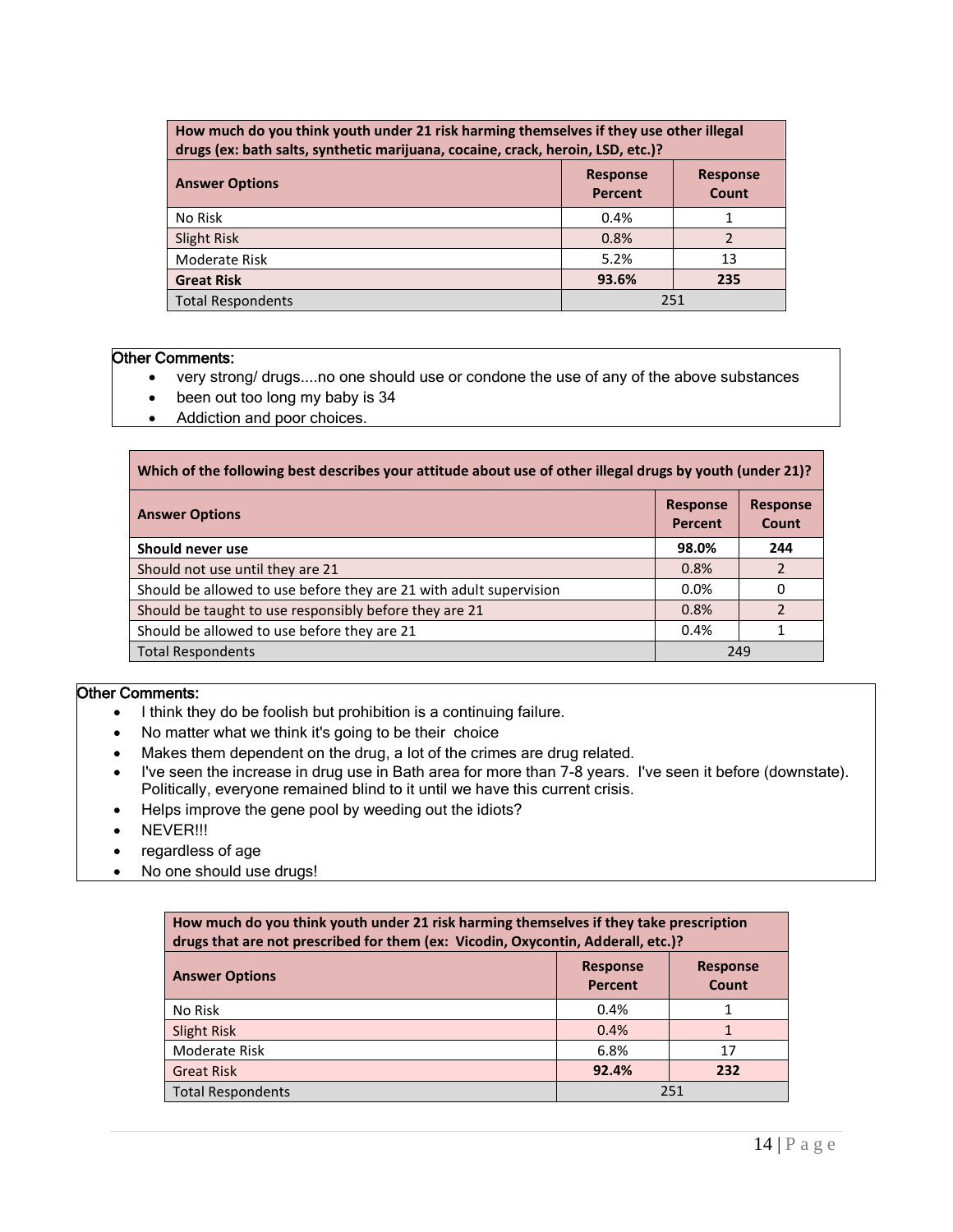| How much do you think youth under 21 risk harming themselves if they use other illegal<br>drugs (ex: bath salts, synthetic marijuana, cocaine, crack, heroin, LSD, etc.)? |                            |                          |  |
|---------------------------------------------------------------------------------------------------------------------------------------------------------------------------|----------------------------|--------------------------|--|
| <b>Answer Options</b>                                                                                                                                                     | <b>Response</b><br>Percent | <b>Response</b><br>Count |  |
| No Risk                                                                                                                                                                   | 0.4%                       |                          |  |
| Slight Risk                                                                                                                                                               | 0.8%                       |                          |  |
| Moderate Risk                                                                                                                                                             | 5.2%                       | 13                       |  |
| <b>Great Risk</b>                                                                                                                                                         | 93.6%                      | 235                      |  |
| 251<br><b>Total Respondents</b>                                                                                                                                           |                            |                          |  |

- very strong/ drugs....no one should use or condone the use of any of the above substances
- been out too long my baby is 34
- Addiction and poor choices.

| Which of the following best describes your attitude about use of other illegal drugs by youth (under 21)? |                            |                          |  |
|-----------------------------------------------------------------------------------------------------------|----------------------------|--------------------------|--|
| <b>Answer Options</b>                                                                                     | <b>Response</b><br>Percent | <b>Response</b><br>Count |  |
| Should never use                                                                                          | 98.0%                      | 244                      |  |
| Should not use until they are 21                                                                          | 0.8%                       | 2                        |  |
| Should be allowed to use before they are 21 with adult supervision                                        | 0.0%                       | 0                        |  |
| Should be taught to use responsibly before they are 21                                                    | 0.8%                       | $\mathcal{P}$            |  |
| Should be allowed to use before they are 21                                                               | 0.4%                       |                          |  |
| <b>Total Respondents</b>                                                                                  | 249                        |                          |  |

- I think they do be foolish but prohibition is a continuing failure.
- No matter what we think it's going to be their choice
- Makes them dependent on the drug, a lot of the crimes are drug related.
- I've seen the increase in drug use in Bath area for more than 7-8 years. I've seen it before (downstate). Politically, everyone remained blind to it until we have this current crisis.
- Helps improve the gene pool by weeding out the idiots?
- NEVER!!!
- regardless of age
- No one should use drugs!

| How much do you think youth under 21 risk harming themselves if they take prescription<br>drugs that are not prescribed for them (ex: Vicodin, Oxycontin, Adderall, etc.)? |                                   |                          |  |
|----------------------------------------------------------------------------------------------------------------------------------------------------------------------------|-----------------------------------|--------------------------|--|
| <b>Answer Options</b>                                                                                                                                                      | <b>Response</b><br><b>Percent</b> | <b>Response</b><br>Count |  |
| No Risk                                                                                                                                                                    | 0.4%                              |                          |  |
| Slight Risk                                                                                                                                                                | 0.4%                              |                          |  |
| Moderate Risk                                                                                                                                                              | 6.8%                              | 17                       |  |
| <b>Great Risk</b>                                                                                                                                                          | 92.4%                             | 232                      |  |
| <b>Total Respondents</b>                                                                                                                                                   |                                   | 251                      |  |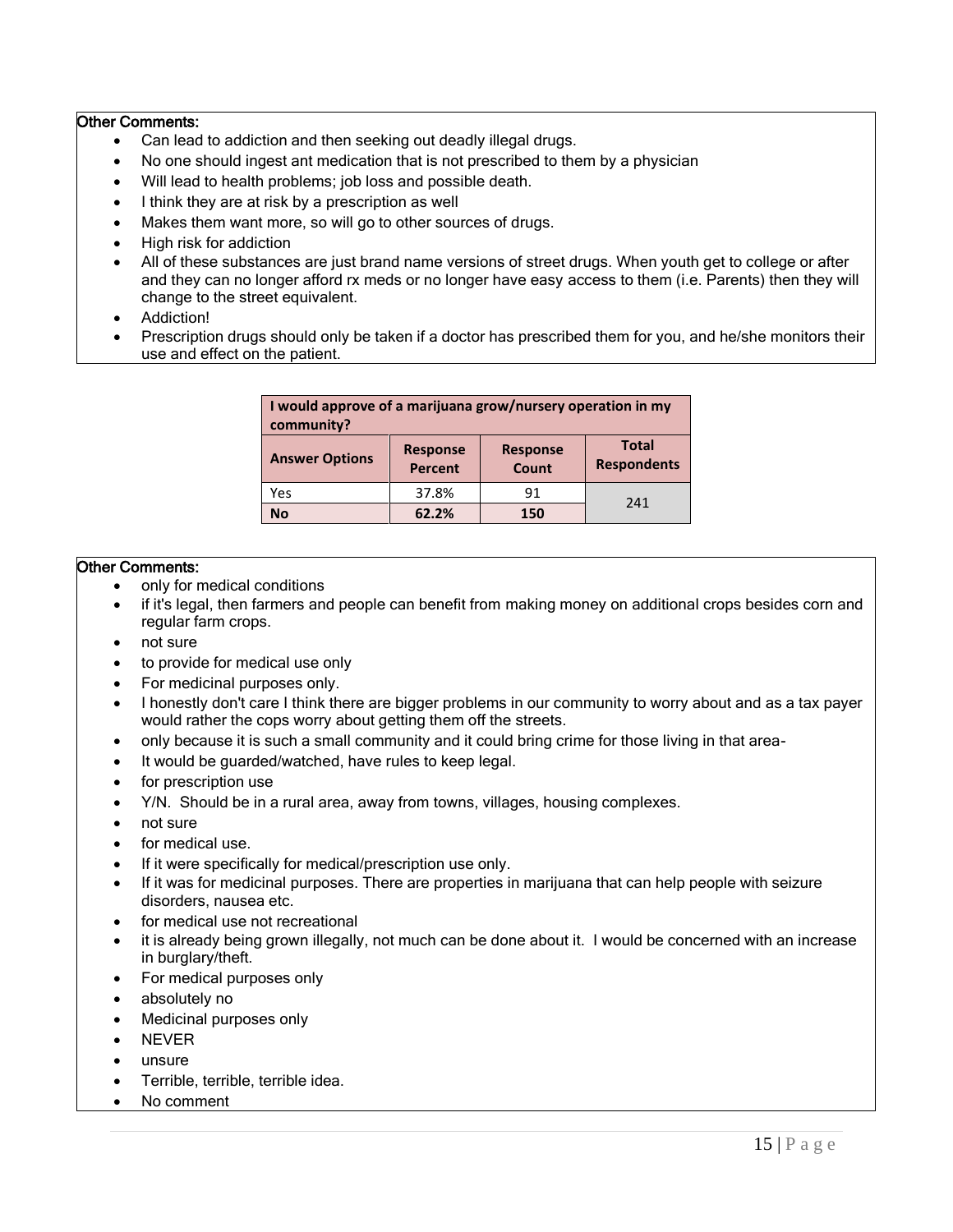- Can lead to addiction and then seeking out deadly illegal drugs.
- No one should ingest ant medication that is not prescribed to them by a physician
- Will lead to health problems; job loss and possible death.
- I think they are at risk by a prescription as well
- Makes them want more, so will go to other sources of drugs.
- High risk for addiction
- All of these substances are just brand name versions of street drugs. When youth get to college or after and they can no longer afford rx meds or no longer have easy access to them (i.e. Parents) then they will change to the street equivalent.
- Addiction!
- Prescription drugs should only be taken if a doctor has prescribed them for you, and he/she monitors their use and effect on the patient.

| I would approve of a marijuana grow/nursery operation in my<br>community? |                                   |                          |                                    |
|---------------------------------------------------------------------------|-----------------------------------|--------------------------|------------------------------------|
| <b>Answer Options</b>                                                     | <b>Response</b><br><b>Percent</b> | <b>Response</b><br>Count | <b>Total</b><br><b>Respondents</b> |
| Yes                                                                       | 37.8%                             | 91                       | 241                                |
| <b>No</b>                                                                 | 62.2%                             | 150                      |                                    |

- only for medical conditions
- if it's legal, then farmers and people can benefit from making money on additional crops besides corn and regular farm crops.
- not sure
- to provide for medical use only
- For medicinal purposes only.
- I honestly don't care I think there are bigger problems in our community to worry about and as a tax payer would rather the cops worry about getting them off the streets.
- only because it is such a small community and it could bring crime for those living in that area-
- It would be guarded/watched, have rules to keep legal.
- for prescription use
- Y/N. Should be in a rural area, away from towns, villages, housing complexes.
- not sure
- for medical use.
- If it were specifically for medical/prescription use only.
- If it was for medicinal purposes. There are properties in marijuana that can help people with seizure disorders, nausea etc.
- for medical use not recreational
- it is already being grown illegally, not much can be done about it. I would be concerned with an increase in burglary/theft.
- For medical purposes only
- absolutely no
- Medicinal purposes only
- NEVER
- unsure
- Terrible, terrible, terrible idea.
- No comment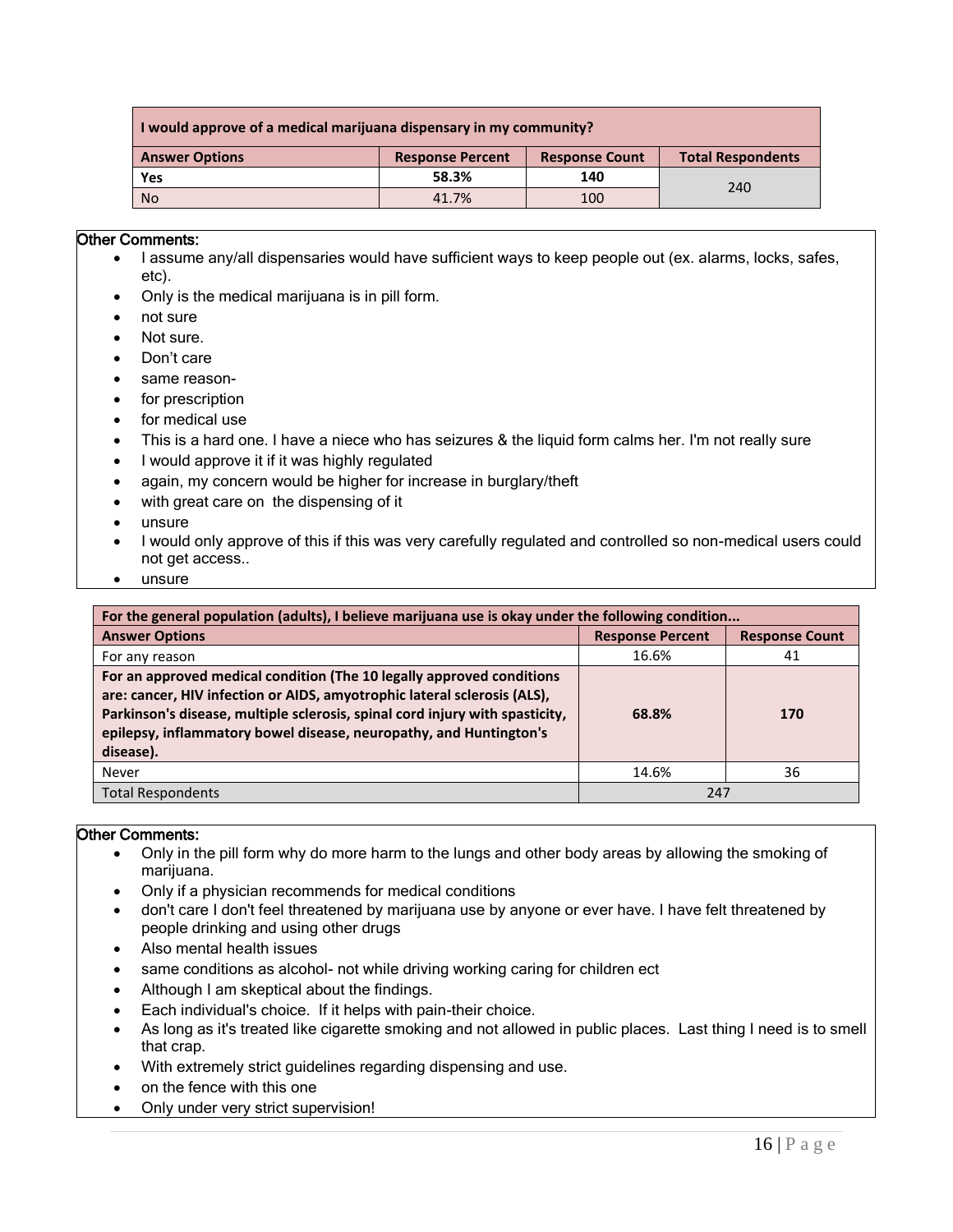| I would approve of a medical marijuana dispensary in my community? |                         |                       |                          |  |
|--------------------------------------------------------------------|-------------------------|-----------------------|--------------------------|--|
| <b>Answer Options</b>                                              | <b>Response Percent</b> | <b>Response Count</b> | <b>Total Respondents</b> |  |
| Yes                                                                | 58.3%                   | 140                   | 240                      |  |
| <b>No</b>                                                          | 41.7%                   | 100                   |                          |  |

- I assume any/all dispensaries would have sufficient ways to keep people out (ex. alarms, locks, safes, etc).
- Only is the medical marijuana is in pill form.
- not sure
- Not sure.
- Don't care
- same reason-
- for prescription
- for medical use
- This is a hard one. I have a niece who has seizures & the liquid form calms her. I'm not really sure
- I would approve it if it was highly regulated
- again, my concern would be higher for increase in burglary/theft
- with great care on the dispensing of it
- unsure
- I would only approve of this if this was very carefully regulated and controlled so non-medical users could not get access..
- unsure

| For the general population (adults), I believe marijuana use is okay under the following condition                                                                                                                                                                                                                   |                         |                       |  |
|----------------------------------------------------------------------------------------------------------------------------------------------------------------------------------------------------------------------------------------------------------------------------------------------------------------------|-------------------------|-----------------------|--|
| <b>Answer Options</b>                                                                                                                                                                                                                                                                                                | <b>Response Percent</b> | <b>Response Count</b> |  |
| For any reason                                                                                                                                                                                                                                                                                                       | 16.6%                   | 41                    |  |
| For an approved medical condition (The 10 legally approved conditions<br>are: cancer, HIV infection or AIDS, amyotrophic lateral sclerosis (ALS),<br>Parkinson's disease, multiple sclerosis, spinal cord injury with spasticity,<br>epilepsy, inflammatory bowel disease, neuropathy, and Huntington's<br>disease). | 68.8%                   | 170                   |  |
| Never                                                                                                                                                                                                                                                                                                                | 14.6%                   | 36                    |  |
| <b>Total Respondents</b>                                                                                                                                                                                                                                                                                             | 247                     |                       |  |

- Only in the pill form why do more harm to the lungs and other body areas by allowing the smoking of marijuana.
- Only if a physician recommends for medical conditions
- don't care I don't feel threatened by marijuana use by anyone or ever have. I have felt threatened by people drinking and using other drugs
- Also mental health issues
- same conditions as alcohol- not while driving working caring for children ect
- Although I am skeptical about the findings.
- Each individual's choice. If it helps with pain-their choice.
- As long as it's treated like cigarette smoking and not allowed in public places. Last thing I need is to smell that crap.
- With extremely strict guidelines regarding dispensing and use.
- on the fence with this one
- Only under very strict supervision!